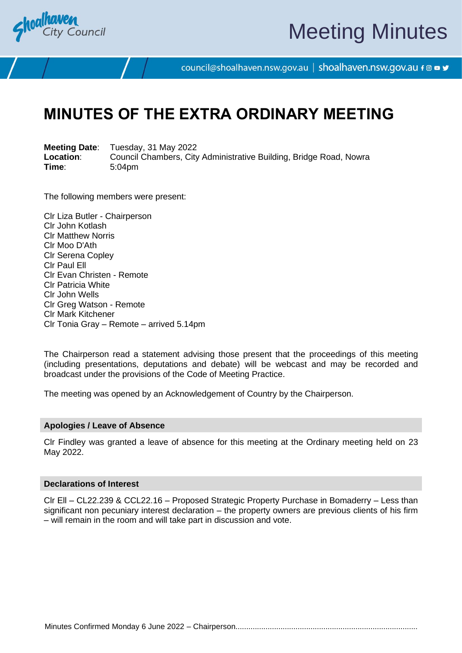

# Meeting Minutes

council@shoalhaven.nsw.gov.au | shoalhaven.nsw.gov.au f @ ■ y

## **MINUTES OF THE EXTRA ORDINARY MEETING**

**Meeting Date**: Tuesday, 31 May 2022 **Location:** Council Chambers, City Administrative Building, Bridge Road, Nowra<br>
Time: 5:04pm **Time**: 5:04pm

The following members were present:

Clr Liza Butler - Chairperson Clr John Kotlash Clr Matthew Norris Clr Moo D'Ath Clr Serena Copley Clr Paul Ell Clr Evan Christen - Remote Clr Patricia White Clr John Wells Clr Greg Watson - Remote Clr Mark Kitchener Clr Tonia Gray – Remote – arrived 5.14pm

The Chairperson read a statement advising those present that the proceedings of this meeting (including presentations, deputations and debate) will be webcast and may be recorded and broadcast under the provisions of the Code of Meeting Practice.

The meeting was opened by an Acknowledgement of Country by the Chairperson.

#### **Apologies / Leave of Absence**

Clr Findley was granted a leave of absence for this meeting at the Ordinary meeting held on 23 May 2022.

#### **Declarations of Interest**

Clr Ell – CL22.239 & CCL22.16 – Proposed Strategic Property Purchase in Bomaderry – Less than significant non pecuniary interest declaration – the property owners are previous clients of his firm – will remain in the room and will take part in discussion and vote.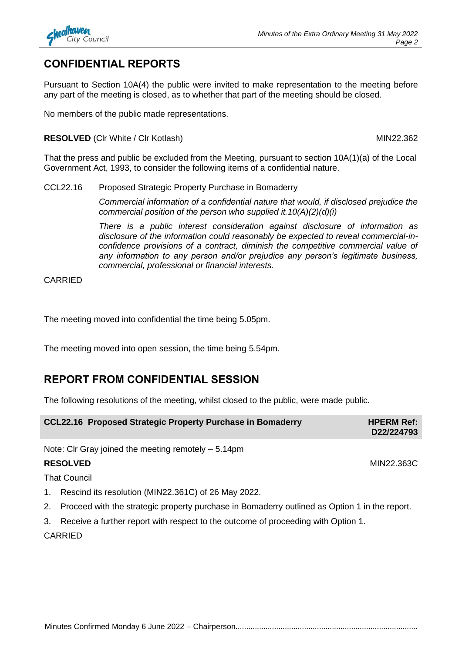

## **CONFIDENTIAL REPORTS**

Pursuant to Section 10A(4) the public were invited to make representation to the meeting before any part of the meeting is closed, as to whether that part of the meeting should be closed.

No members of the public made representations.

**RESOLVED** (CIr White / CIr Kotlash) MIN22.362

That the press and public be excluded from the Meeting, pursuant to section 10A(1)(a) of the Local Government Act, 1993, to consider the following items of a confidential nature.

## CCL22.16 Proposed Strategic Property Purchase in Bomaderry

*Commercial information of a confidential nature that would, if disclosed prejudice the commercial position of the person who supplied it.10(A)(2)(d)(i)*

*There is a public interest consideration against disclosure of information as disclosure of the information could reasonably be expected to reveal commercial-inconfidence provisions of a contract, diminish the competitive commercial value of any information to any person and/or prejudice any person's legitimate business, commercial, professional or financial interests.*

CARRIED

The meeting moved into confidential the time being 5.05pm.

The meeting moved into open session, the time being 5.54pm.

## **REPORT FROM CONFIDENTIAL SESSION**

The following resolutions of the meeting, whilst closed to the public, were made public.

| CCL22.16 Proposed Strategic Property Purchase in Bomaderry | <b>HPERM Ref:</b><br>D22/224793 |
|------------------------------------------------------------|---------------------------------|
|------------------------------------------------------------|---------------------------------|

Note: Clr Gray joined the meeting remotely – 5.14pm

## **RESOLVED** MIN22.363C

That Council

- 1. Rescind its resolution (MIN22.361C) of 26 May 2022.
- 2. Proceed with the strategic property purchase in Bomaderry outlined as Option 1 in the report.
- 3. Receive a further report with respect to the outcome of proceeding with Option 1.

**CARRIED**